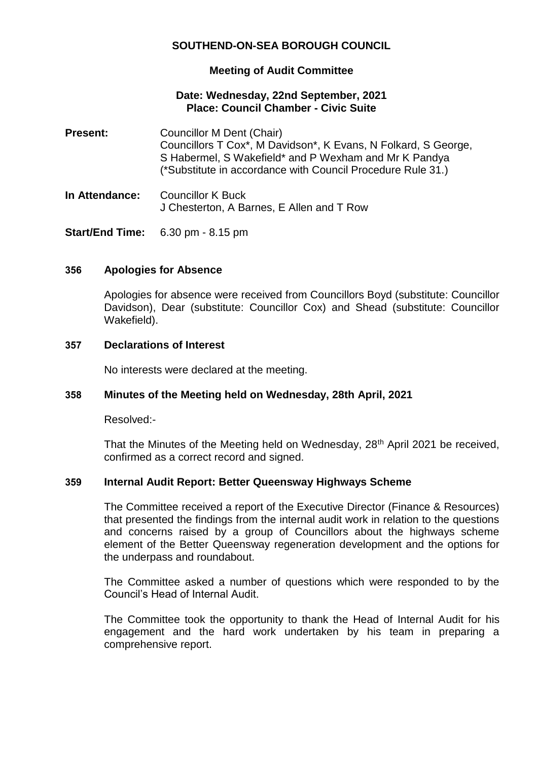# **SOUTHEND-ON-SEA BOROUGH COUNCIL**

## **Meeting of Audit Committee**

#### **Date: Wednesday, 22nd September, 2021 Place: Council Chamber - Civic Suite**

- **Present:** Councillor M Dent (Chair) Councillors T Cox\*, M Davidson\*, K Evans, N Folkard, S George, S Habermel, S Wakefield\* and P Wexham and Mr K Pandya (\*Substitute in accordance with Council Procedure Rule 31.)
- **In Attendance:** Councillor K Buck J Chesterton, A Barnes, E Allen and T Row

**Start/End Time:** 6.30 pm - 8.15 pm

## **356 Apologies for Absence**

Apologies for absence were received from Councillors Boyd (substitute: Councillor Davidson), Dear (substitute: Councillor Cox) and Shead (substitute: Councillor Wakefield).

#### **357 Declarations of Interest**

No interests were declared at the meeting.

## **358 Minutes of the Meeting held on Wednesday, 28th April, 2021**

Resolved:-

That the Minutes of the Meeting held on Wednesday, 28<sup>th</sup> April 2021 be received, confirmed as a correct record and signed.

## **359 Internal Audit Report: Better Queensway Highways Scheme**

The Committee received a report of the Executive Director (Finance & Resources) that presented the findings from the internal audit work in relation to the questions and concerns raised by a group of Councillors about the highways scheme element of the Better Queensway regeneration development and the options for the underpass and roundabout.

The Committee asked a number of questions which were responded to by the Council's Head of Internal Audit.

The Committee took the opportunity to thank the Head of Internal Audit for his engagement and the hard work undertaken by his team in preparing a comprehensive report.